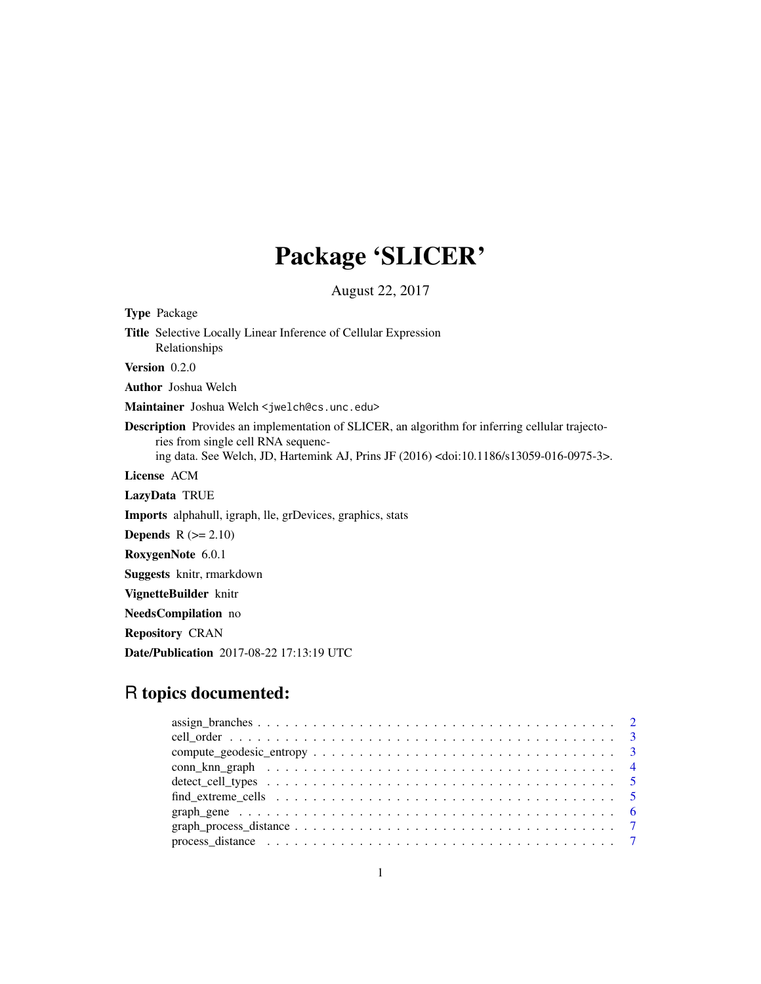# Package 'SLICER'

August 22, 2017

| <b>Type Package</b>                                                                                                                                                                                                                                      |
|----------------------------------------------------------------------------------------------------------------------------------------------------------------------------------------------------------------------------------------------------------|
| <b>Title</b> Selective Locally Linear Inference of Cellular Expression<br>Relationships                                                                                                                                                                  |
| Version 0.2.0                                                                                                                                                                                                                                            |
| <b>Author</b> Joshua Welch                                                                                                                                                                                                                               |
| Maintainer Joshua Welch < jwelch@cs.unc.edu>                                                                                                                                                                                                             |
| <b>Description</b> Provides an implementation of SLICER, an algorithm for inferring cellular trajecto-<br>ries from single cell RNA sequenc-<br>ing data. See Welch, JD, Hartemink AJ, Prins JF (2016) <doi:10.1186 s13059-016-0975-3="">.</doi:10.1186> |
| License ACM                                                                                                                                                                                                                                              |
| LazyData TRUE                                                                                                                                                                                                                                            |
| <b>Imports</b> alphahull, igraph, lle, grDevices, graphics, stats                                                                                                                                                                                        |
| <b>Depends</b> $R (= 2.10)$                                                                                                                                                                                                                              |
| RoxygenNote 6.0.1                                                                                                                                                                                                                                        |
| <b>Suggests</b> knitr, rmarkdown                                                                                                                                                                                                                         |
| VignetteBuilder knitr                                                                                                                                                                                                                                    |
| <b>NeedsCompilation</b> no                                                                                                                                                                                                                               |
| <b>Repository CRAN</b>                                                                                                                                                                                                                                   |
| Date/Publication 2017-08-22 17:13:19 UTC                                                                                                                                                                                                                 |
|                                                                                                                                                                                                                                                          |

## R topics documented: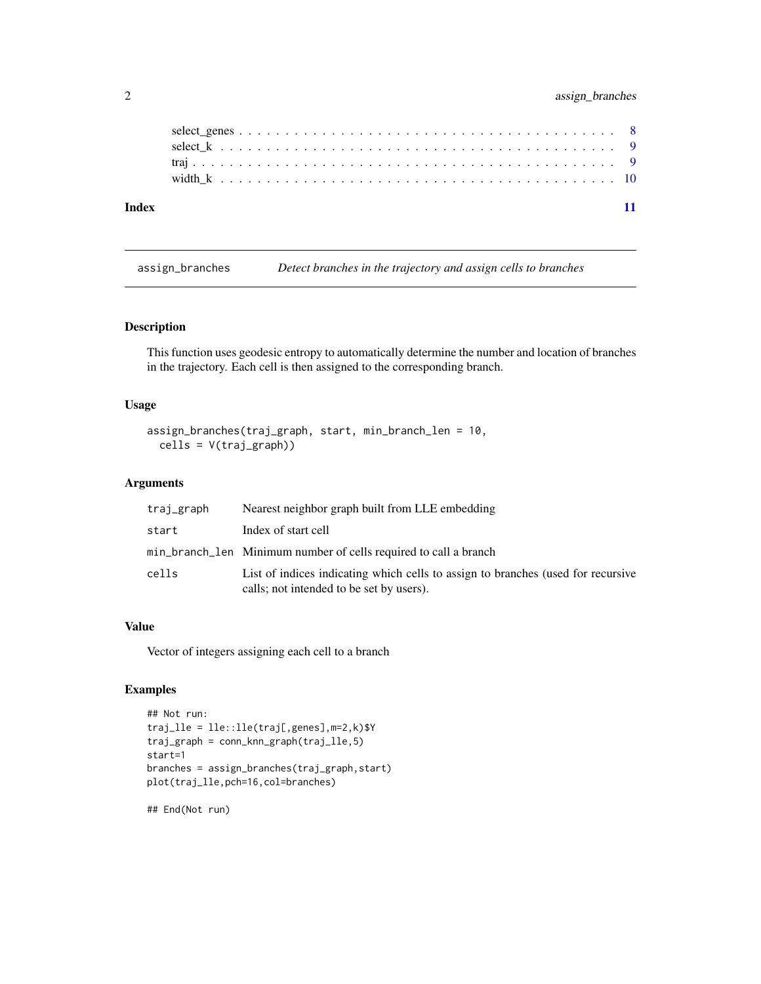## <span id="page-1-0"></span>2 assign\_branches

| Index |  |  |  |  |  |  |  |  |  |  |  |  |  |  |  |  |  |  |  |
|-------|--|--|--|--|--|--|--|--|--|--|--|--|--|--|--|--|--|--|--|

assign\_branches *Detect branches in the trajectory and assign cells to branches*

## Description

This function uses geodesic entropy to automatically determine the number and location of branches in the trajectory. Each cell is then assigned to the corresponding branch.

## Usage

```
assign_branches(traj_graph, start, min_branch_len = 10,
  cells = V(traj_graph))
```
## Arguments

| traj_graph | Nearest neighbor graph built from LLE embedding                                                                              |
|------------|------------------------------------------------------------------------------------------------------------------------------|
| start      | Index of start cell                                                                                                          |
|            | min_branch_len Minimum number of cells required to call a branch                                                             |
| cells      | List of indices indicating which cells to assign to branches (used for recursive<br>calls; not intended to be set by users). |

#### Value

Vector of integers assigning each cell to a branch

## Examples

```
## Not run:
traj_lle = lle::lle(traj[,genes],m=2,k)$Y
traj_graph = conn_knn_graph(traj_lle,5)
start=1
branches = assign_branches(traj_graph,start)
plot(traj_lle,pch=16,col=branches)
```
## End(Not run)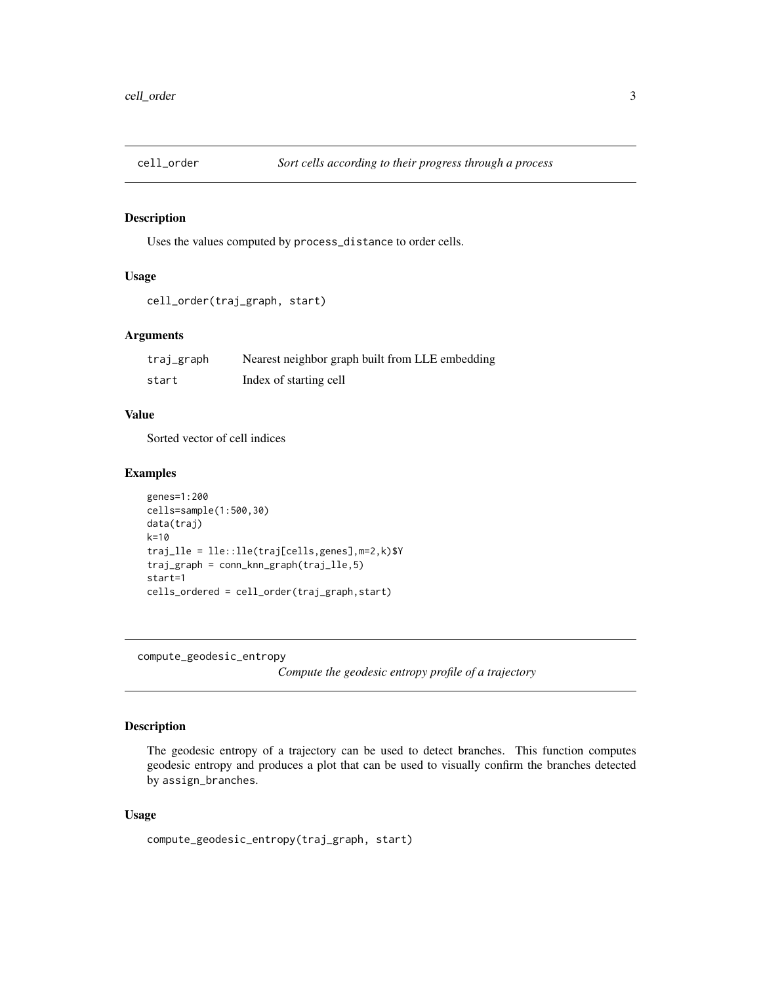<span id="page-2-0"></span>

## Description

Uses the values computed by process\_distance to order cells.

#### Usage

```
cell_order(traj_graph, start)
```
## Arguments

| traj_graph | Nearest neighbor graph built from LLE embedding |
|------------|-------------------------------------------------|
| start      | Index of starting cell                          |

## Value

Sorted vector of cell indices

## Examples

```
genes=1:200
cells=sample(1:500,30)
data(traj)
k=10
traj_lle = lle::lle(traj[cells,genes],m=2,k)$Y
traj_graph = conn_knn_graph(traj_lle,5)
start=1
cells_ordered = cell_order(traj_graph,start)
```
compute\_geodesic\_entropy

*Compute the geodesic entropy profile of a trajectory*

## Description

The geodesic entropy of a trajectory can be used to detect branches. This function computes geodesic entropy and produces a plot that can be used to visually confirm the branches detected by assign\_branches.

## Usage

```
compute_geodesic_entropy(traj_graph, start)
```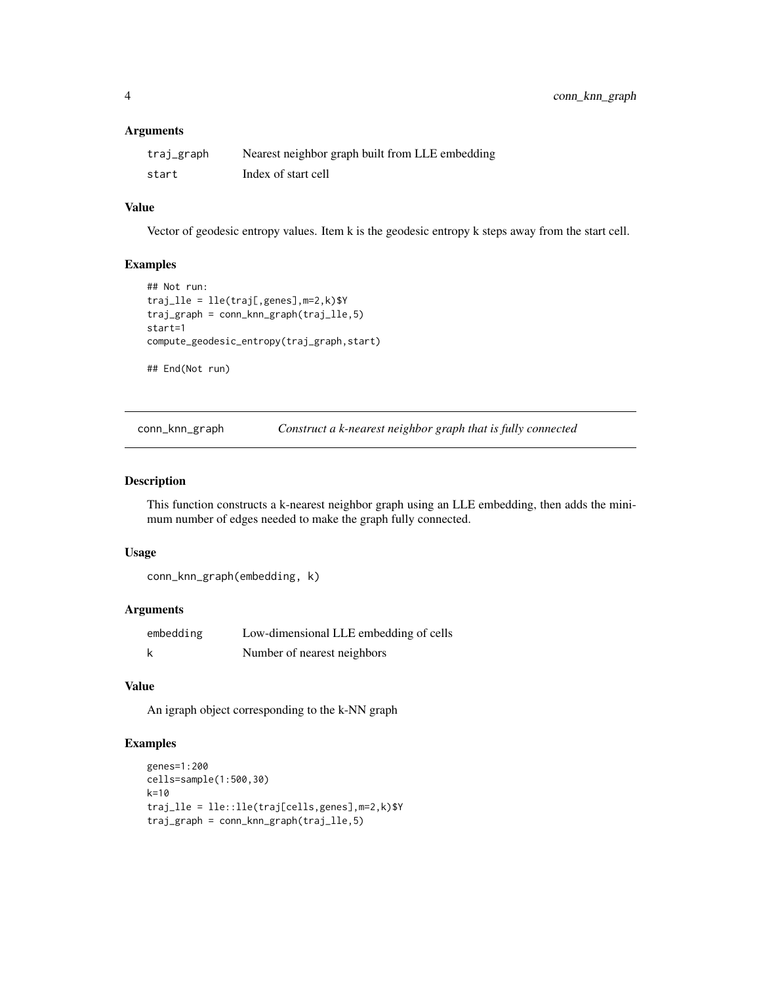#### <span id="page-3-0"></span>Arguments

| traj_graph | Nearest neighbor graph built from LLE embedding |
|------------|-------------------------------------------------|
| start      | Index of start cell                             |

## Value

Vector of geodesic entropy values. Item k is the geodesic entropy k steps away from the start cell.

#### Examples

```
## Not run:
traj_lle = lle(traj[,genes],m=2,k)$Y
traj_graph = conn_knn_graph(traj_lle,5)
start=1
compute_geodesic_entropy(traj_graph,start)
## End(Not run)
```
conn\_knn\_graph *Construct a k-nearest neighbor graph that is fully connected*

#### Description

This function constructs a k-nearest neighbor graph using an LLE embedding, then adds the minimum number of edges needed to make the graph fully connected.

#### Usage

```
conn_knn_graph(embedding, k)
```
#### Arguments

| embedding | Low-dimensional LLE embedding of cells |
|-----------|----------------------------------------|
| k         | Number of nearest neighbors            |

## Value

An igraph object corresponding to the k-NN graph

#### Examples

```
genes=1:200
cells=sample(1:500,30)
k=10
traj_lle = lle::lle(traj[cells,genes],m=2,k)$Y
traj_graph = conn_knn_graph(traj_lle,5)
```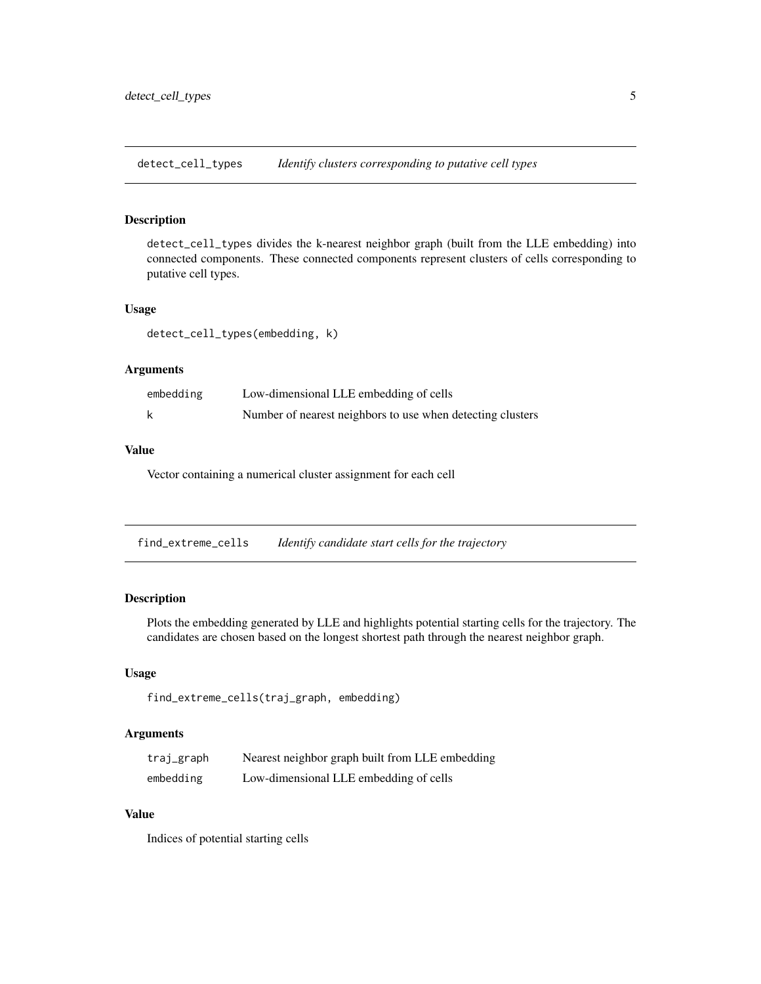<span id="page-4-0"></span>detect\_cell\_types *Identify clusters corresponding to putative cell types*

#### Description

detect\_cell\_types divides the k-nearest neighbor graph (built from the LLE embedding) into connected components. These connected components represent clusters of cells corresponding to putative cell types.

#### Usage

detect\_cell\_types(embedding, k)

#### Arguments

| embedding | Low-dimensional LLE embedding of cells                     |
|-----------|------------------------------------------------------------|
|           | Number of nearest neighbors to use when detecting clusters |

## Value

Vector containing a numerical cluster assignment for each cell

find\_extreme\_cells *Identify candidate start cells for the trajectory*

#### Description

Plots the embedding generated by LLE and highlights potential starting cells for the trajectory. The candidates are chosen based on the longest shortest path through the nearest neighbor graph.

#### Usage

```
find_extreme_cells(traj_graph, embedding)
```
## Arguments

| traj_graph | Nearest neighbor graph built from LLE embedding |
|------------|-------------------------------------------------|
| embedding  | Low-dimensional LLE embedding of cells          |

## Value

Indices of potential starting cells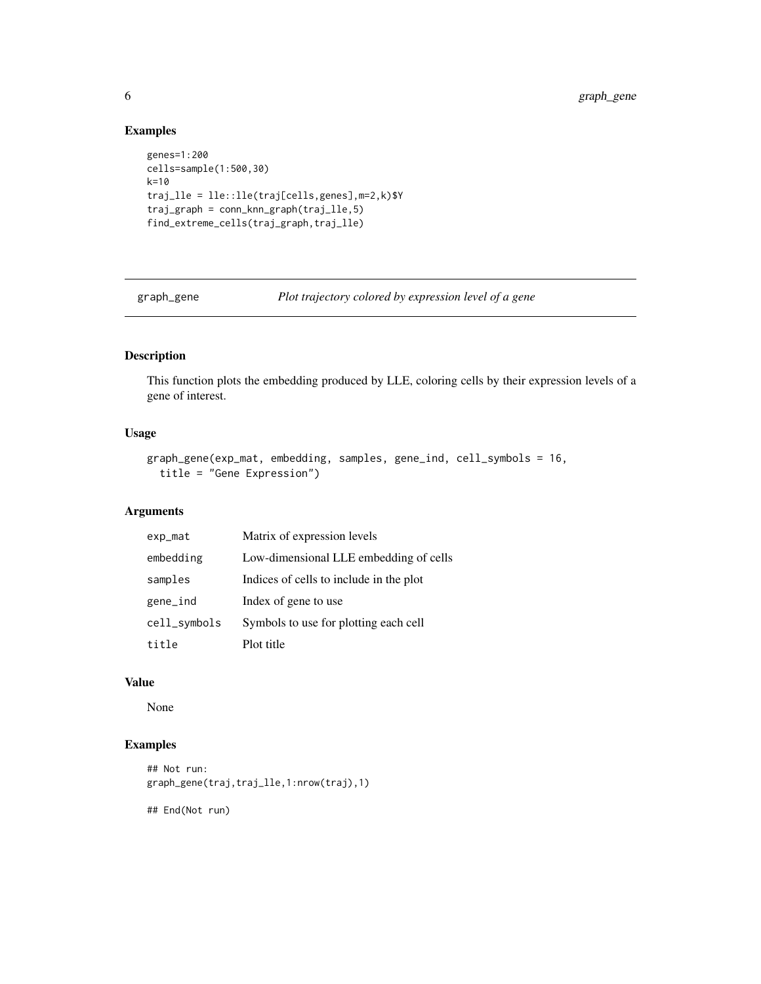<span id="page-5-0"></span>6 graph\_gene

## Examples

```
genes=1:200
cells=sample(1:500,30)
k=10
traj_lle = lle::lle(traj[cells,genes],m=2,k)$Y
traj_graph = conn_knn_graph(traj_lle,5)
find_extreme_cells(traj_graph,traj_lle)
```
graph\_gene *Plot trajectory colored by expression level of a gene*

## Description

This function plots the embedding produced by LLE, coloring cells by their expression levels of a gene of interest.

## Usage

```
graph_gene(exp_mat, embedding, samples, gene_ind, cell_symbols = 16,
  title = "Gene Expression")
```
## Arguments

| exp_mat      | Matrix of expression levels             |
|--------------|-----------------------------------------|
| embedding    | Low-dimensional LLE embedding of cells  |
| samples      | Indices of cells to include in the plot |
| gene_ind     | Index of gene to use                    |
| cell_symbols | Symbols to use for plotting each cell   |
| title        | Plot title                              |

#### Value

None

## Examples

```
## Not run:
graph_gene(traj,traj_lle,1:nrow(traj),1)
```
## End(Not run)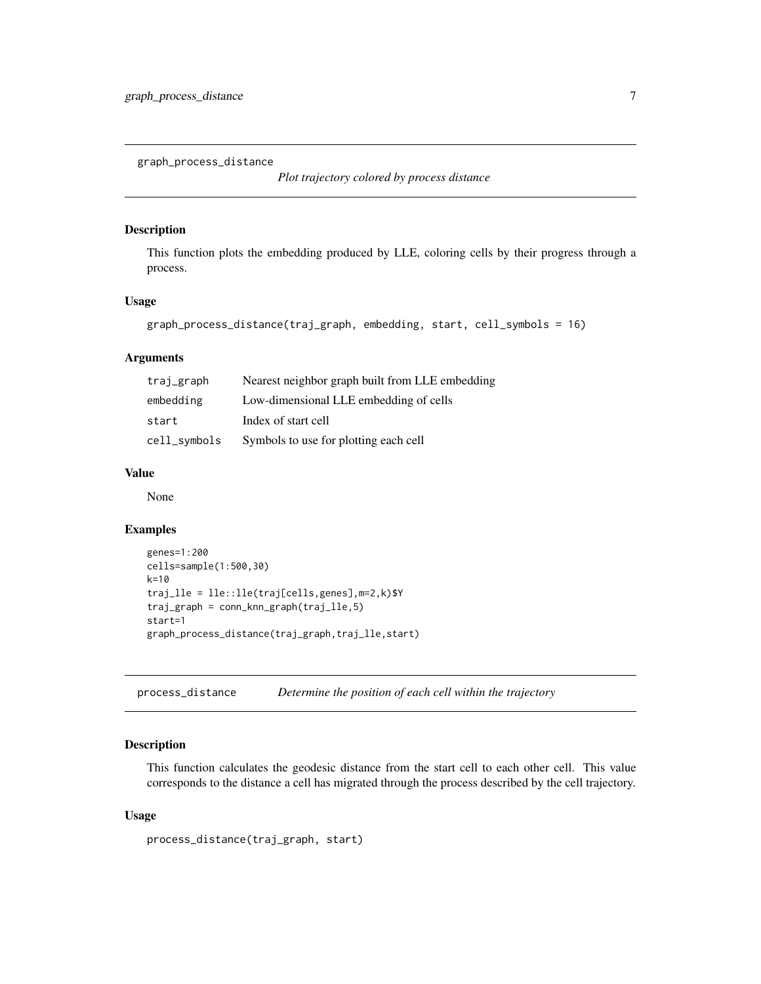<span id="page-6-0"></span>graph\_process\_distance

*Plot trajectory colored by process distance*

#### Description

This function plots the embedding produced by LLE, coloring cells by their progress through a process.

## Usage

```
graph_process_distance(traj_graph, embedding, start, cell_symbols = 16)
```
#### Arguments

| traj_graph   | Nearest neighbor graph built from LLE embedding |
|--------------|-------------------------------------------------|
| embedding    | Low-dimensional LLE embedding of cells          |
| start        | Index of start cell                             |
| cell_symbols | Symbols to use for plotting each cell           |

## Value

None

#### Examples

```
genes=1:200
cells=sample(1:500,30)
k=10
traj_lle = lle::lle(traj[cells,genes],m=2,k)$Y
traj_graph = conn_knn_graph(traj_lle,5)
start=1
graph_process_distance(traj_graph,traj_lle,start)
```
process\_distance *Determine the position of each cell within the trajectory*

#### Description

This function calculates the geodesic distance from the start cell to each other cell. This value corresponds to the distance a cell has migrated through the process described by the cell trajectory.

#### Usage

```
process_distance(traj_graph, start)
```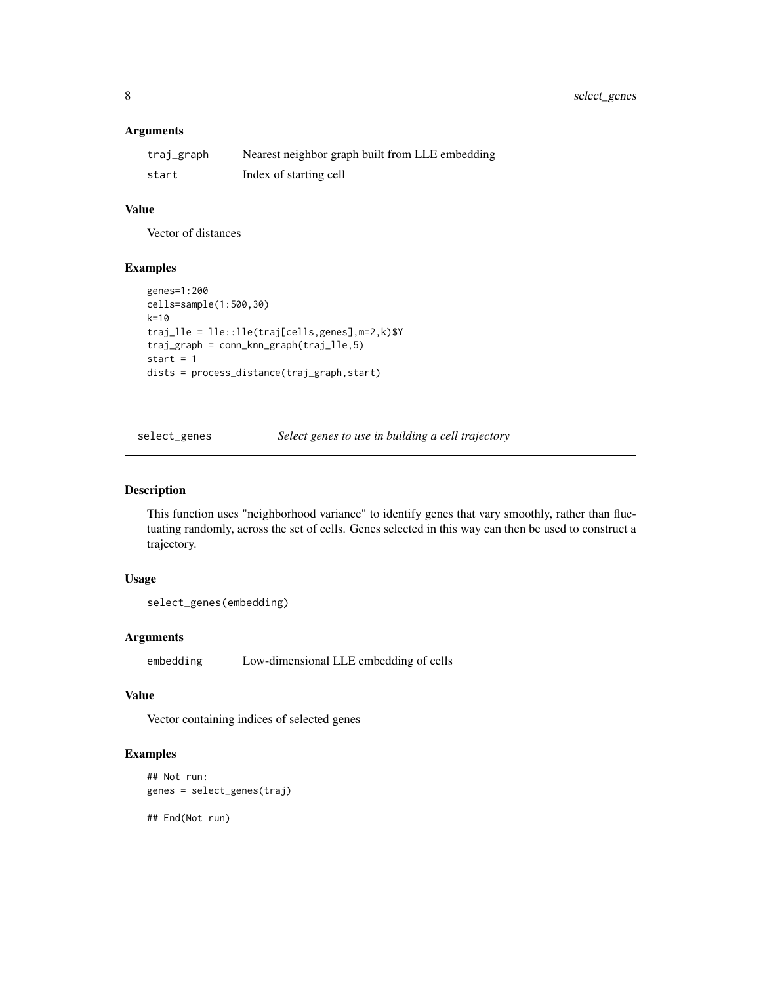## <span id="page-7-0"></span>Arguments

| traj_graph | Nearest neighbor graph built from LLE embedding |
|------------|-------------------------------------------------|
| start      | Index of starting cell                          |

#### Value

Vector of distances

#### Examples

```
genes=1:200
cells=sample(1:500,30)
k=10
traj_lle = lle::lle(traj[cells,genes],m=2,k)$Y
traj_graph = conn_knn_graph(traj_lle,5)
start = 1dists = process_distance(traj_graph,start)
```
select\_genes *Select genes to use in building a cell trajectory*

## Description

This function uses "neighborhood variance" to identify genes that vary smoothly, rather than fluctuating randomly, across the set of cells. Genes selected in this way can then be used to construct a trajectory.

#### Usage

```
select_genes(embedding)
```
#### Arguments

embedding Low-dimensional LLE embedding of cells

## Value

Vector containing indices of selected genes

## Examples

```
## Not run:
genes = select_genes(traj)
```
## End(Not run)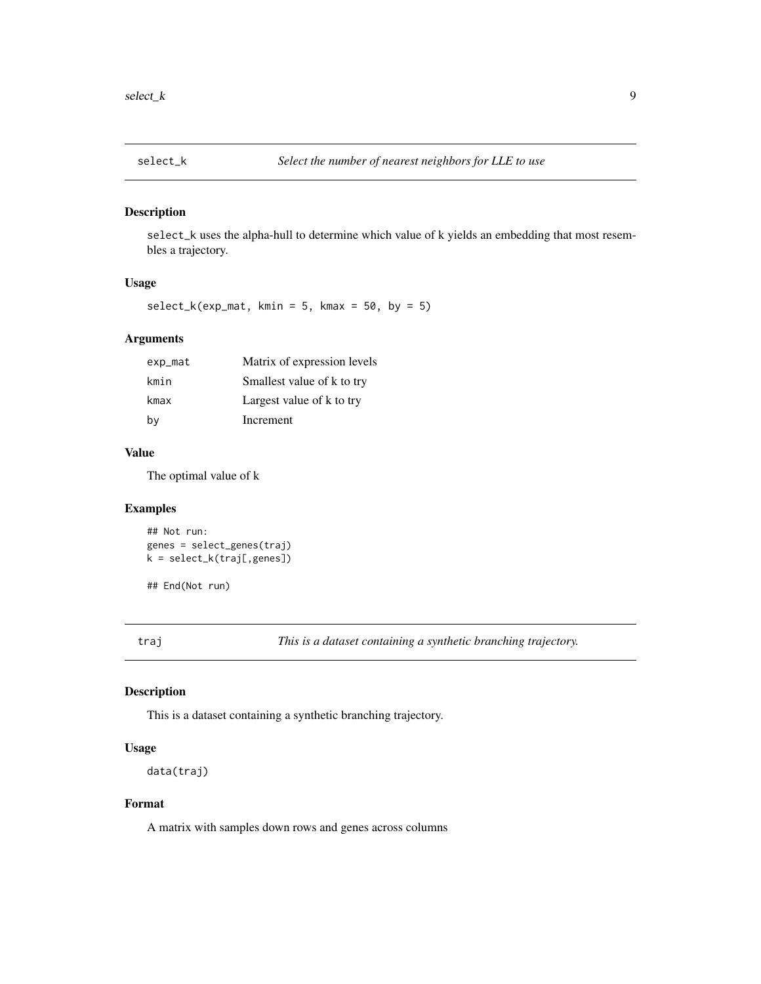<span id="page-8-0"></span>

## Description

select\_k uses the alpha-hull to determine which value of k yields an embedding that most resembles a trajectory.

## Usage

 $select_k(exp_matrix, kmin = 5, kmax = 50, by = 5)$ 

## Arguments

| exp_mat | Matrix of expression levels |
|---------|-----------------------------|
| kmin    | Smallest value of k to try  |
| kmax    | Largest value of k to try   |
| by      | Increment                   |

## Value

The optimal value of k

#### Examples

```
## Not run:
genes = select_genes(traj)
k = select_k(traj[,genes])
```
## End(Not run)

traj *This is a dataset containing a synthetic branching trajectory.*

#### Description

This is a dataset containing a synthetic branching trajectory.

#### Usage

```
data(traj)
```
#### Format

A matrix with samples down rows and genes across columns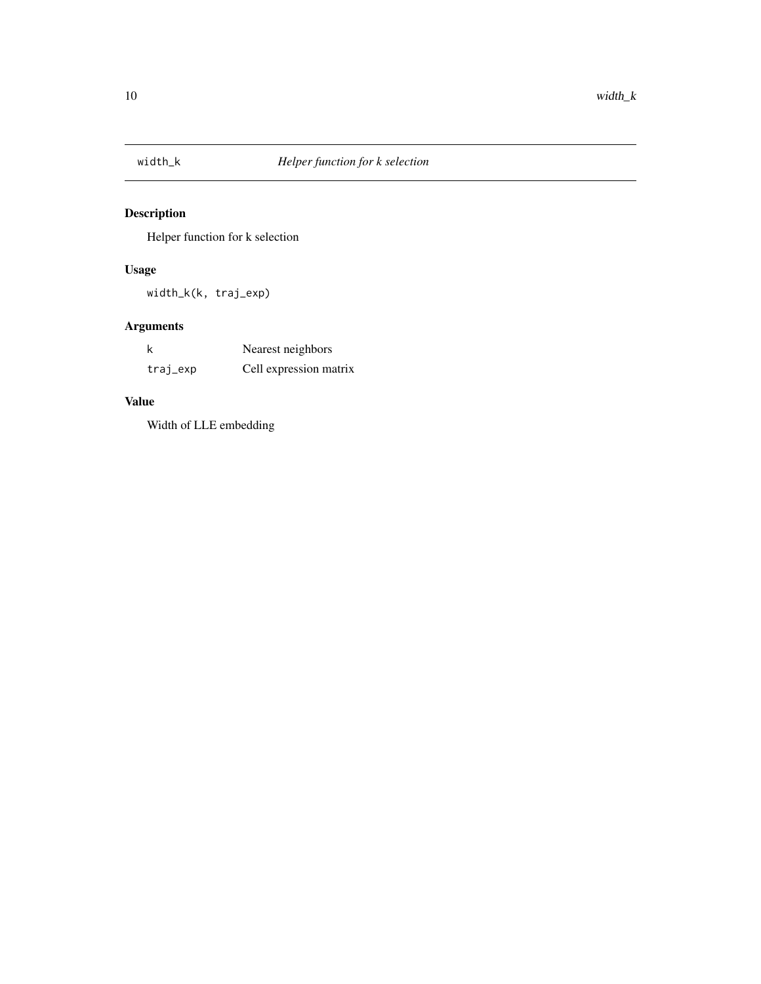<span id="page-9-0"></span>

## Description

Helper function for k selection

## Usage

width\_k(k, traj\_exp)

## Arguments

| k        | Nearest neighbors      |
|----------|------------------------|
| traj_exp | Cell expression matrix |

## Value

Width of LLE embedding